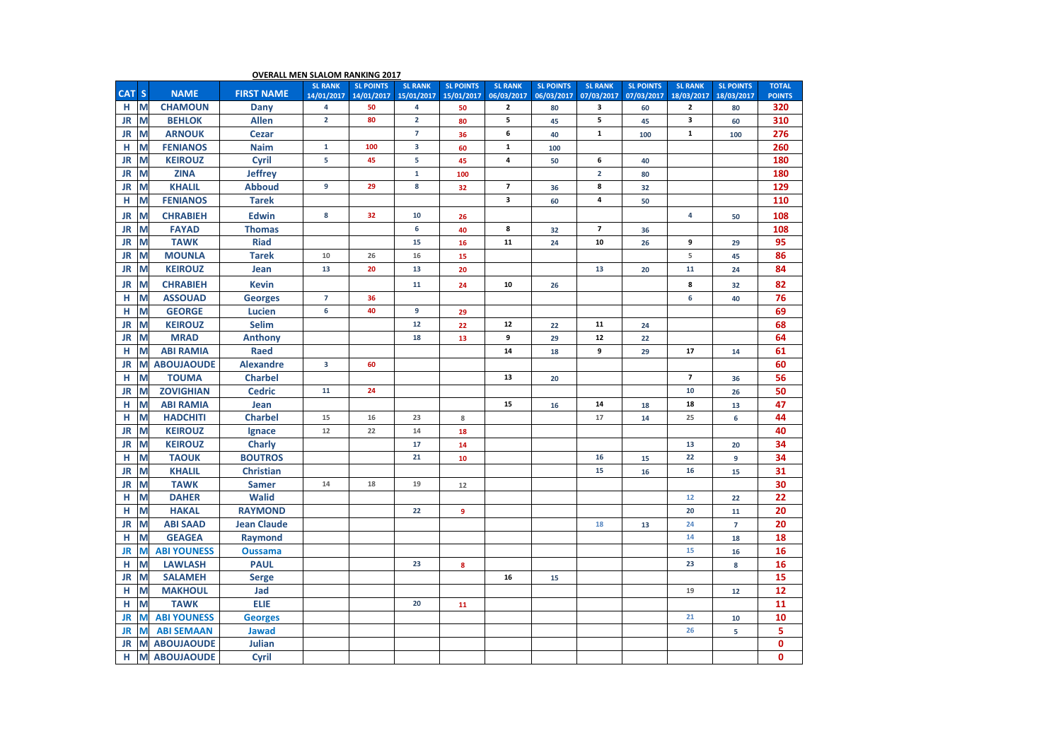| <b>OVERALL MEN SLALOM RANKING 2017</b> |                    |                    |                     |                  |                         |                  |                          |                  |                          |                  |                         |                  |               |
|----------------------------------------|--------------------|--------------------|---------------------|------------------|-------------------------|------------------|--------------------------|------------------|--------------------------|------------------|-------------------------|------------------|---------------|
| <b>CAT</b><br><b>S</b>                 | <b>NAME</b>        |                    | <b>SL RANK</b>      | <b>SL POINTS</b> | <b>SL RANK</b>          | <b>SL POINTS</b> | <b>SL RANK</b>           | <b>SL POINTS</b> | <b>SL RANK</b>           | <b>SL POINTS</b> | <b>SL RANK</b>          | <b>SL POINTS</b> | <b>TOTAL</b>  |
|                                        |                    | <b>FIRST NAME</b>  | 14/01/2017          | 14/01/2017       | 15/01/2017              | 15/01/2017       | 06/03/2017               | 06/03/2017       | 07/03/2017               | 07/03/2017       | 18/03/2017              | 18/03/2017       | <b>POINTS</b> |
| M<br>н                                 | <b>CHAMOUN</b>     | Dany               | 4<br>$\overline{2}$ | 50<br>80         | 4<br>$\overline{2}$     | 50               | $\mathbf{2}$<br>5        | 80               | 3                        | 60               | 2                       | 80               | 320           |
| M<br><b>JR</b>                         | <b>BEHLOK</b>      | <b>Allen</b>       |                     |                  |                         | 80               |                          | 45               | 5                        | 45               | 3                       | 60               | 310           |
| M<br><b>JR</b>                         | <b>ARNOUK</b>      | <b>Cezar</b>       |                     |                  | $\overline{7}$          | 36               | 6                        | 40               | ${\bf 1}$                | 100              | $\mathbf{1}$            | 100              | 276           |
| M<br>н                                 | <b>FENIANOS</b>    | <b>Naim</b>        | $\mathbf{1}$        | 100              | $\overline{\mathbf{3}}$ | 60               | $\mathbf 1$              | 100              |                          |                  |                         |                  | 260           |
| M<br>JR                                | <b>KEIROUZ</b>     | Cyril              | 5                   | 45               | 5                       | 45               | 4                        | 50               | 6                        | 40               |                         |                  | 180           |
| M<br><b>JR</b>                         | <b>ZINA</b>        | <b>Jeffrey</b>     |                     |                  | $\mathbf 1$             | 100              |                          |                  | $\mathbf 2$              | 80               |                         |                  | 180           |
| <b>JR</b><br>M                         | <b>KHALIL</b>      | <b>Abboud</b>      | 9                   | 29               | 8                       | 32               | $\overline{\phantom{a}}$ | 36               | 8                        | 32               |                         |                  | 129           |
| M<br>н                                 | <b>FENIANOS</b>    | <b>Tarek</b>       |                     |                  |                         |                  | 3                        | 60               | 4                        | 50               |                         |                  | 110           |
| M<br><b>JR</b>                         | <b>CHRABIEH</b>    | <b>Edwin</b>       | 8                   | 32               | 10                      | 26               |                          |                  |                          |                  | 4                       | 50               | 108           |
| <b>JR</b><br>M                         | <b>FAYAD</b>       | <b>Thomas</b>      |                     |                  | 6                       | 40               | 8                        | 32               | $\overline{\phantom{a}}$ | 36               |                         |                  | 108           |
| M<br><b>JR</b>                         | <b>TAWK</b>        | <b>Riad</b>        |                     |                  | 15                      | 16               | 11                       | 24               | 10                       | 26               | 9                       | 29               | 95            |
| M<br><b>JR</b>                         | <b>MOUNLA</b>      | <b>Tarek</b>       | $10\,$              | 26               | 16                      | 15               |                          |                  |                          |                  | 5                       | 45               | 86            |
| M<br><b>JR</b>                         | <b>KEIROUZ</b>     | Jean               | 13                  | 20               | 13                      | 20               |                          |                  | 13                       | 20               | 11                      | 24               | 84            |
| M<br><b>JR</b>                         | <b>CHRABIEH</b>    | <b>Kevin</b>       |                     |                  | 11                      | 24               | 10                       | 26               |                          |                  | 8                       | 32               | 82            |
| M<br>н                                 | <b>ASSOUAD</b>     | <b>Georges</b>     | $\overline{7}$      | 36               |                         |                  |                          |                  |                          |                  | 6                       | 40               | 76            |
| M<br>н                                 | <b>GEORGE</b>      | <b>Lucien</b>      | 6                   | 40               | 9                       | 29               |                          |                  |                          |                  |                         |                  | 69            |
| M<br><b>JR</b>                         | <b>KEIROUZ</b>     | <b>Selim</b>       |                     |                  | 12                      | 22               | 12                       | 22               | 11                       | 24               |                         |                  | 68            |
| <b>JR</b><br>M                         | <b>MRAD</b>        | <b>Anthony</b>     |                     |                  | 18                      | 13               | 9                        | 29               | ${\bf 12}$               | 22               |                         |                  | 64            |
| M<br>н                                 | <b>ABI RAMIA</b>   | <b>Raed</b>        |                     |                  |                         |                  | 14                       | 18               | 9                        | 29               | 17                      | 14               | 61            |
| M<br><b>JR</b>                         | <b>ABOUJAOUDE</b>  | <b>Alexandre</b>   | 3                   | 60               |                         |                  |                          |                  |                          |                  |                         |                  | 60            |
| M<br>н                                 | <b>TOUMA</b>       | <b>Charbel</b>     |                     |                  |                         |                  | 13                       | 20               |                          |                  | $\overline{\mathbf{z}}$ | 36               | 56            |
| M<br><b>JR</b>                         | <b>ZOVIGHIAN</b>   | <b>Cedric</b>      | 11                  | 24               |                         |                  |                          |                  |                          |                  | 10                      | 26               | 50            |
| M<br>н                                 | <b>ABI RAMIA</b>   | Jean               |                     |                  |                         |                  | 15                       | 16               | 14                       | 18               | 18                      | 13               | 47            |
| н<br>M                                 | <b>HADCHITI</b>    | <b>Charbel</b>     | 15                  | 16               | 23                      | 8                |                          |                  | 17                       | 14               | 25                      | 6                | 44            |
| <b>JR</b><br>M                         | <b>KEIROUZ</b>     | Ignace             | 12                  | 22               | 14                      | 18               |                          |                  |                          |                  |                         |                  | 40            |
| M<br><b>JR</b>                         | <b>KEIROUZ</b>     | <b>Charly</b>      |                     |                  | 17                      | 14               |                          |                  |                          |                  | 13                      | 20               | 34            |
| н<br>M                                 | <b>TAOUK</b>       | <b>BOUTROS</b>     |                     |                  | 21                      | 10               |                          |                  | 16                       | 15               | 22                      | 9                | 34            |
| M<br><b>JR</b>                         | <b>KHALIL</b>      | <b>Christian</b>   |                     |                  |                         |                  |                          |                  | 15                       | 16               | 16                      | 15               | 31            |
| <b>JR</b><br>M                         | <b>TAWK</b>        | <b>Samer</b>       | 14                  | 18               | 19                      | 12               |                          |                  |                          |                  |                         |                  | 30            |
| н<br>M                                 | <b>DAHER</b>       | <b>Walid</b>       |                     |                  |                         |                  |                          |                  |                          |                  | 12                      | 22               | 22            |
| M<br>н                                 | <b>HAKAL</b>       | <b>RAYMOND</b>     |                     |                  | 22                      | $\overline{9}$   |                          |                  |                          |                  | 20                      | 11               | 20            |
| <b>JR</b><br>M                         | <b>ABI SAAD</b>    | <b>Jean Claude</b> |                     |                  |                         |                  |                          |                  | 18                       | 13               | 24                      | $\overline{7}$   | 20            |
| M<br>н                                 | <b>GEAGEA</b>      | Raymond            |                     |                  |                         |                  |                          |                  |                          |                  | 14                      | 18               | 18            |
| M<br>JR                                | <b>ABI YOUNESS</b> | <b>Oussama</b>     |                     |                  |                         |                  |                          |                  |                          |                  | 15                      | 16               | 16            |
| н<br>M                                 | <b>LAWLASH</b>     | <b>PAUL</b>        |                     |                  | 23                      | 8                |                          |                  |                          |                  | 23                      | 8                | 16            |
| M<br><b>JR</b>                         | <b>SALAMEH</b>     | <b>Serge</b>       |                     |                  |                         |                  | 16                       | 15               |                          |                  |                         |                  | 15            |
| M<br>н                                 | <b>MAKHOUL</b>     | Jad                |                     |                  |                         |                  |                          |                  |                          |                  | 19                      | 12               | 12            |
| M<br>н                                 | <b>TAWK</b>        | <b>ELIE</b>        |                     |                  | 20                      | 11               |                          |                  |                          |                  |                         |                  | 11            |
| M<br>JR                                | <b>ABI YOUNESS</b> | <b>Georges</b>     |                     |                  |                         |                  |                          |                  |                          |                  | 21                      | 10               | 10            |
| M<br>JR                                | <b>ABI SEMAAN</b>  | <b>Jawad</b>       |                     |                  |                         |                  |                          |                  |                          |                  | 26                      | 5                | 5             |
| M<br>JR                                | <b>ABOUJAOUDE</b>  | Julian             |                     |                  |                         |                  |                          |                  |                          |                  |                         |                  | 0             |
| н<br>M                                 | <b>ABOUJAOUDE</b>  | Cyril              |                     |                  |                         |                  |                          |                  |                          |                  |                         |                  | $\mathbf{0}$  |